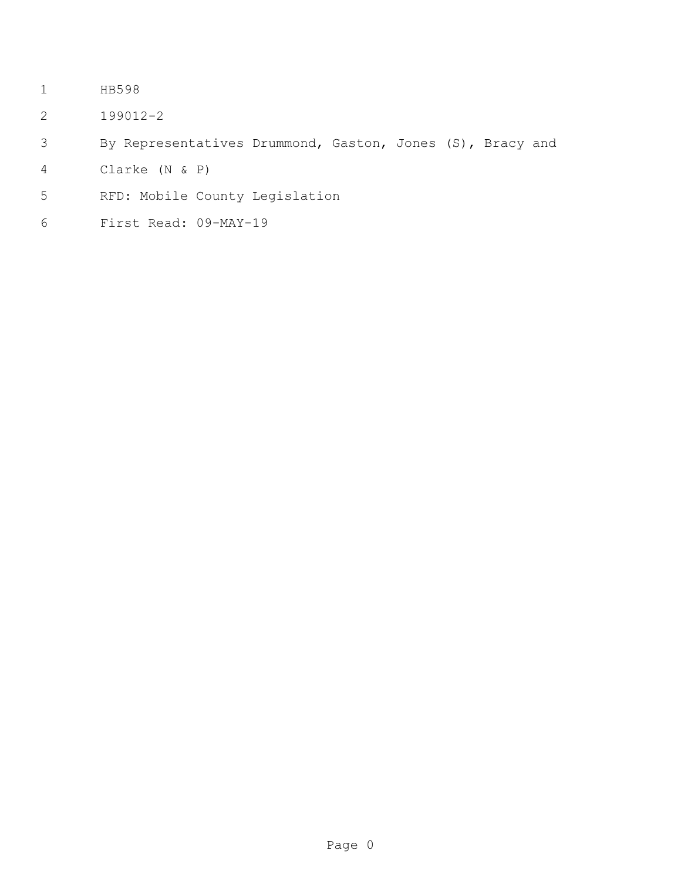- HB598
- 199012-2
- By Representatives Drummond, Gaston, Jones (S), Bracy and
- Clarke (N & P)
- RFD: Mobile County Legislation
- First Read: 09-MAY-19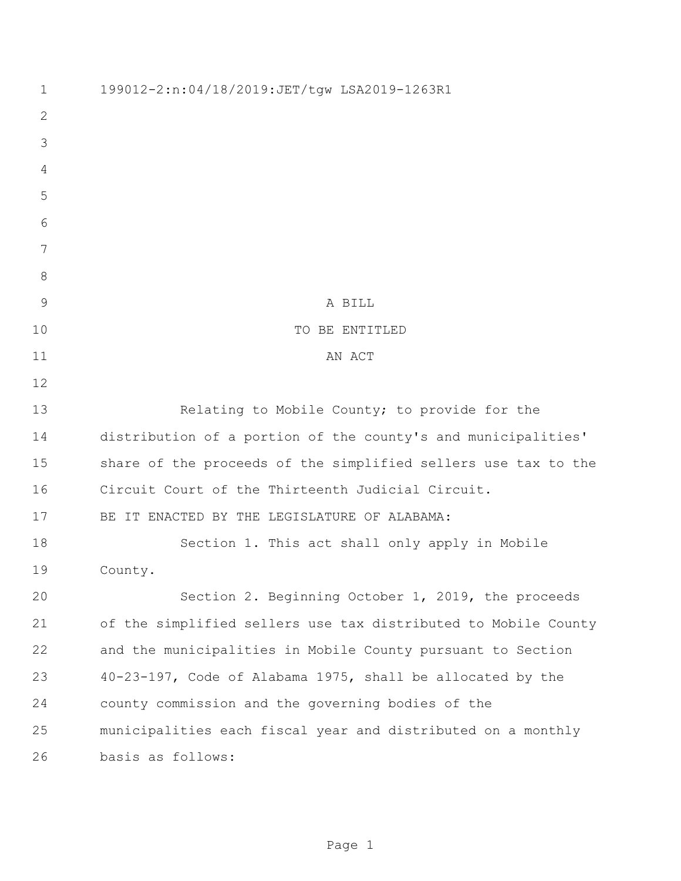| $\mathbf 1$   | 199012-2:n:04/18/2019:JET/tqw LSA2019-1263R1                   |
|---------------|----------------------------------------------------------------|
| $\mathbf{2}$  |                                                                |
| 3             |                                                                |
| 4             |                                                                |
| 5             |                                                                |
| 6             |                                                                |
| 7             |                                                                |
| $8\,$         |                                                                |
| $\mathcal{G}$ | A BILL                                                         |
| 10            | TO BE ENTITLED                                                 |
| 11            | AN ACT                                                         |
| 12            |                                                                |
| 13            | Relating to Mobile County; to provide for the                  |
| 14            | distribution of a portion of the county's and municipalities'  |
| 15            | share of the proceeds of the simplified sellers use tax to the |
| 16            | Circuit Court of the Thirteenth Judicial Circuit.              |
| 17            | BE IT ENACTED BY THE LEGISLATURE OF ALABAMA:                   |
| 18            | Section 1. This act shall only apply in Mobile                 |
| 19            | County.                                                        |
| 20            | Section 2. Beginning October 1, 2019, the proceeds             |
| 21            | of the simplified sellers use tax distributed to Mobile County |
| 22            | and the municipalities in Mobile County pursuant to Section    |
| 23            | 40-23-197, Code of Alabama 1975, shall be allocated by the     |
| 24            | county commission and the governing bodies of the              |
| 25            | municipalities each fiscal year and distributed on a monthly   |
| 26            | basis as follows:                                              |